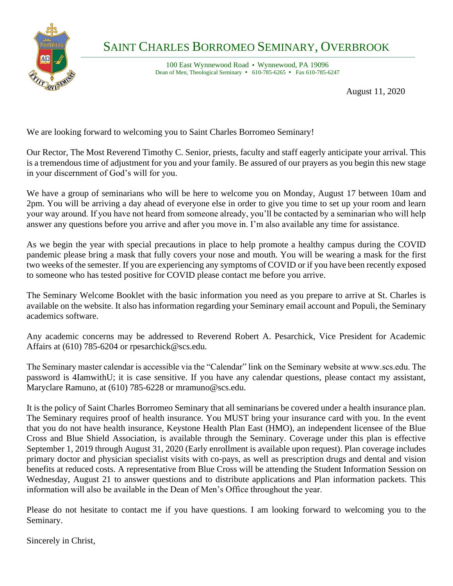

## SAINT CHARLES BORROMEO SEMINARY, OVERBROOK  $\frac{1}{\sqrt{2}}$

100 East Wynnewood Road • Wynnewood, PA 19096 Dean of Men, Theological Seminary  $\cdot$  610-785-6265  $\cdot$  Fax 610-785-6247

August 11, 2020

We are looking forward to welcoming you to Saint Charles Borromeo Seminary!

Our Rector, The Most Reverend Timothy C. Senior, priests, faculty and staff eagerly anticipate your arrival. This is a tremendous time of adjustment for you and your family. Be assured of our prayers as you begin this new stage in your discernment of God's will for you.

We have a group of seminarians who will be here to welcome you on Monday, August 17 between 10am and 2pm. You will be arriving a day ahead of everyone else in order to give you time to set up your room and learn your way around. If you have not heard from someone already, you'll be contacted by a seminarian who will help answer any questions before you arrive and after you move in. I'm also available any time for assistance.

As we begin the year with special precautions in place to help promote a healthy campus during the COVID pandemic please bring a mask that fully covers your nose and mouth. You will be wearing a mask for the first two weeks of the semester. If you are experiencing any symptoms of COVID or if you have been recently exposed to someone who has tested positive for COVID please contact me before you arrive.

The Seminary Welcome Booklet with the basic information you need as you prepare to arrive at St. Charles is available on the website. It also has information regarding your Seminary email account and Populi, the Seminary academics software.

Any academic concerns may be addressed to Reverend Robert A. Pesarchick, Vice President for Academic Affairs at (610) 785-6204 or rpesarchick@scs.edu.

The Seminary master calendar is accessible via the "Calendar" link on the Seminary website at www.scs.edu. The password is 4IamwithU; it is case sensitive. If you have any calendar questions, please contact my assistant, Maryclare Ramuno, at (610) 785-6228 or mramuno@scs.edu.

It is the policy of Saint Charles Borromeo Seminary that all seminarians be covered under a health insurance plan. The Seminary requires proof of health insurance. You MUST bring your insurance card with you. In the event that you do not have health insurance, Keystone Health Plan East (HMO), an independent licensee of the Blue Cross and Blue Shield Association, is available through the Seminary. Coverage under this plan is effective September 1, 2019 through August 31, 2020 (Early enrollment is available upon request). Plan coverage includes primary doctor and physician specialist visits with co-pays, as well as prescription drugs and dental and vision benefits at reduced costs. A representative from Blue Cross will be attending the Student Information Session on Wednesday, August 21 to answer questions and to distribute applications and Plan information packets. This information will also be available in the Dean of Men's Office throughout the year.

Please do not hesitate to contact me if you have questions. I am looking forward to welcoming you to the Seminary.

Sincerely in Christ,